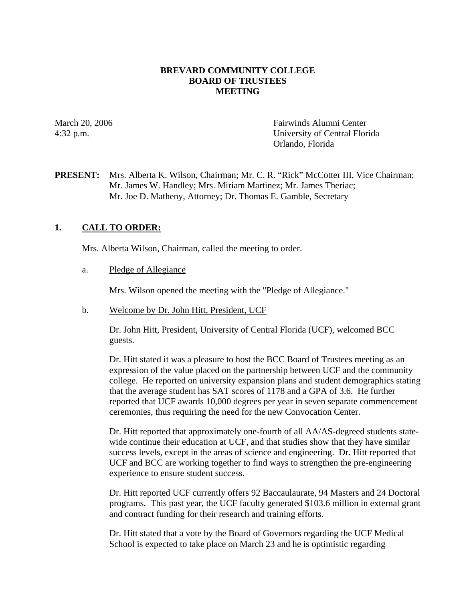### **BREVARD COMMUNITY COLLEGE BOARD OF TRUSTEES MEETING**

March 20, 2006 **Fairwinds Alumni Center** 4:32 p.m. University of Central Florida Orlando, Florida

**PRESENT:** Mrs. Alberta K. Wilson, Chairman; Mr. C. R. "Rick" McCotter III, Vice Chairman; Mr. James W. Handley; Mrs. Miriam Martinez; Mr. James Theriac; Mr. Joe D. Matheny, Attorney; Dr. Thomas E. Gamble, Secretary

### **1. CALL TO ORDER:**

Mrs. Alberta Wilson, Chairman, called the meeting to order.

#### a. Pledge of Allegiance

Mrs. Wilson opened the meeting with the "Pledge of Allegiance."

#### b. Welcome by Dr. John Hitt, President, UCF

Dr. John Hitt, President, University of Central Florida (UCF), welcomed BCC guests.

Dr. Hitt stated it was a pleasure to host the BCC Board of Trustees meeting as an expression of the value placed on the partnership between UCF and the community college. He reported on university expansion plans and student demographics stating that the average student has SAT scores of 1178 and a GPA of 3.6. He further reported that UCF awards 10,000 degrees per year in seven separate commencement ceremonies, thus requiring the need for the new Convocation Center.

Dr. Hitt reported that approximately one-fourth of all AA/AS-degreed students statewide continue their education at UCF, and that studies show that they have similar success levels, except in the areas of science and engineering. Dr. Hitt reported that UCF and BCC are working together to find ways to strengthen the pre-engineering experience to ensure student success.

Dr. Hitt reported UCF currently offers 92 Baccaulaurate, 94 Masters and 24 Doctoral programs. This past year, the UCF faculty generated \$103.6 million in external grant and contract funding for their research and training efforts.

Dr. Hitt stated that a vote by the Board of Governors regarding the UCF Medical School is expected to take place on March 23 and he is optimistic regarding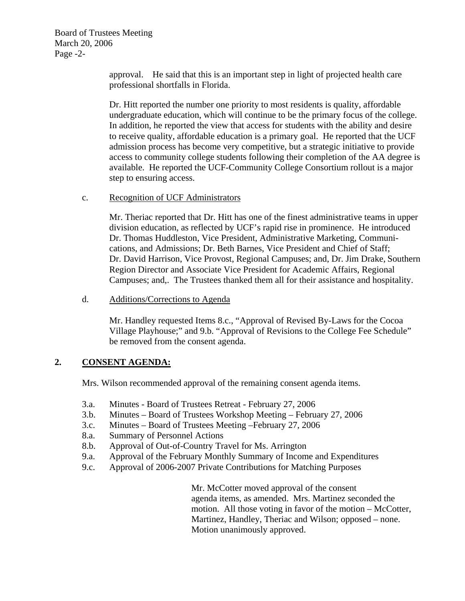Board of Trustees Meeting March 20, 2006 Page -2-

> approval. He said that this is an important step in light of projected health care professional shortfalls in Florida.

Dr. Hitt reported the number one priority to most residents is quality, affordable undergraduate education, which will continue to be the primary focus of the college. In addition, he reported the view that access for students with the ability and desire to receive quality, affordable education is a primary goal. He reported that the UCF admission process has become very competitive, but a strategic initiative to provide access to community college students following their completion of the AA degree is available. He reported the UCF-Community College Consortium rollout is a major step to ensuring access.

#### c. Recognition of UCF Administrators

Mr. Theriac reported that Dr. Hitt has one of the finest administrative teams in upper division education, as reflected by UCF's rapid rise in prominence. He introduced Dr. Thomas Huddleston, Vice President, Administrative Marketing, Communications, and Admissions; Dr. Beth Barnes, Vice President and Chief of Staff; Dr. David Harrison, Vice Provost, Regional Campuses; and, Dr. Jim Drake, Southern Region Director and Associate Vice President for Academic Affairs, Regional Campuses; and,. The Trustees thanked them all for their assistance and hospitality.

d. Additions/Corrections to Agenda

Mr. Handley requested Items 8.c., "Approval of Revised By-Laws for the Cocoa Village Playhouse;" and 9.b. "Approval of Revisions to the College Fee Schedule" be removed from the consent agenda.

# **2. CONSENT AGENDA:**

Mrs. Wilson recommended approval of the remaining consent agenda items.

- 3.a. Minutes Board of Trustees Retreat February 27, 2006
- 3.b. Minutes Board of Trustees Workshop Meeting February 27, 2006
- 3.c. Minutes Board of Trustees Meeting –February 27, 2006
- 8.a. Summary of Personnel Actions
- 8.b. Approval of Out-of-Country Travel for Ms. Arrington
- 9.a. Approval of the February Monthly Summary of Income and Expenditures
- 9.c. Approval of 2006-2007 Private Contributions for Matching Purposes

Mr. McCotter moved approval of the consent agenda items, as amended. Mrs. Martinez seconded the motion. All those voting in favor of the motion – McCotter, Martinez, Handley, Theriac and Wilson; opposed – none. Motion unanimously approved.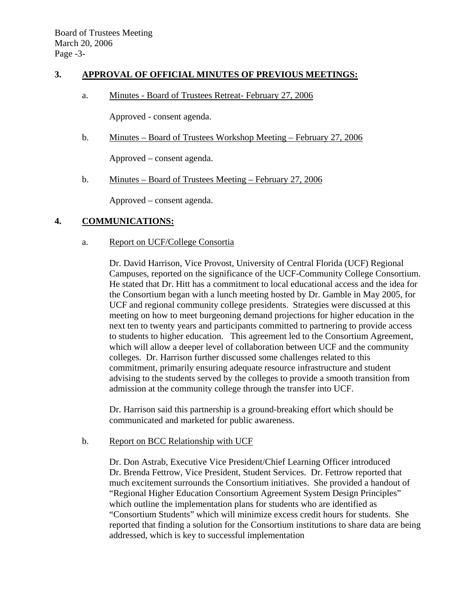### **3. APPROVAL OF OFFICIAL MINUTES OF PREVIOUS MEETINGS:**

a. Minutes - Board of Trustees Retreat- February 27, 2006

Approved - consent agenda.

b. Minutes – Board of Trustees Workshop Meeting – February 27, 2006

Approved – consent agenda.

b. Minutes – Board of Trustees Meeting – February 27, 2006

Approved – consent agenda.

#### **4. COMMUNICATIONS:**

a. Report on UCF/College Consortia

Dr. David Harrison, Vice Provost, University of Central Florida (UCF) Regional Campuses, reported on the significance of the UCF-Community College Consortium. He stated that Dr. Hitt has a commitment to local educational access and the idea for the Consortium began with a lunch meeting hosted by Dr. Gamble in May 2005, for UCF and regional community college presidents. Strategies were discussed at this meeting on how to meet burgeoning demand projections for higher education in the next ten to twenty years and participants committed to partnering to provide access to students to higher education. This agreement led to the Consortium Agreement, which will allow a deeper level of collaboration between UCF and the community colleges. Dr. Harrison further discussed some challenges related to this commitment, primarily ensuring adequate resource infrastructure and student advising to the students served by the colleges to provide a smooth transition from admission at the community college through the transfer into UCF.

Dr. Harrison said this partnership is a ground-breaking effort which should be communicated and marketed for public awareness.

b. Report on BCC Relationship with UCF

 Dr. Don Astrab, Executive Vice President/Chief Learning Officer introduced Dr. Brenda Fettrow, Vice President, Student Services. Dr. Fettrow reported that much excitement surrounds the Consortium initiatives. She provided a handout of "Regional Higher Education Consortium Agreement System Design Principles" which outline the implementation plans for students who are identified as "Consortium Students" which will minimize excess credit hours for students. She reported that finding a solution for the Consortium institutions to share data are being addressed, which is key to successful implementation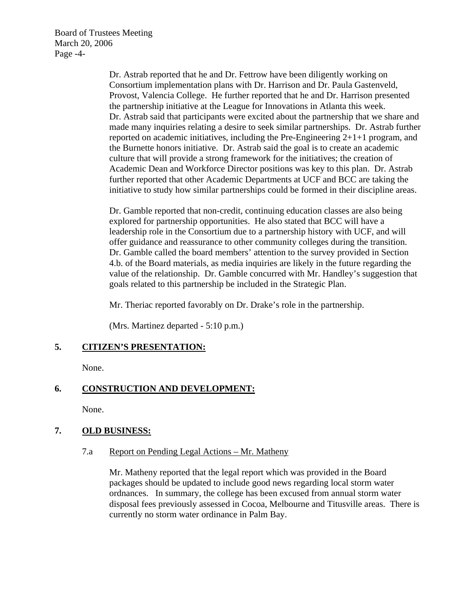Board of Trustees Meeting March 20, 2006 Page -4-

> Dr. Astrab reported that he and Dr. Fettrow have been diligently working on Consortium implementation plans with Dr. Harrison and Dr. Paula Gastenveld, Provost, Valencia College. He further reported that he and Dr. Harrison presented the partnership initiative at the League for Innovations in Atlanta this week. Dr. Astrab said that participants were excited about the partnership that we share and made many inquiries relating a desire to seek similar partnerships. Dr. Astrab further reported on academic initiatives, including the Pre-Engineering 2+1+1 program, and the Burnette honors initiative. Dr. Astrab said the goal is to create an academic culture that will provide a strong framework for the initiatives; the creation of Academic Dean and Workforce Director positions was key to this plan. Dr. Astrab further reported that other Academic Departments at UCF and BCC are taking the initiative to study how similar partnerships could be formed in their discipline areas.

 Dr. Gamble reported that non-credit, continuing education classes are also being explored for partnership opportunities. He also stated that BCC will have a leadership role in the Consortium due to a partnership history with UCF, and will offer guidance and reassurance to other community colleges during the transition. Dr. Gamble called the board members' attention to the survey provided in Section 4.b. of the Board materials, as media inquiries are likely in the future regarding the value of the relationship. Dr. Gamble concurred with Mr. Handley's suggestion that goals related to this partnership be included in the Strategic Plan.

Mr. Theriac reported favorably on Dr. Drake's role in the partnership.

(Mrs. Martinez departed - 5:10 p.m.)

# **5. CITIZEN'S PRESENTATION:**

None.

# **6. CONSTRUCTION AND DEVELOPMENT:**

None.

# **7. OLD BUSINESS:**

7.a Report on Pending Legal Actions – Mr. Matheny

Mr. Matheny reported that the legal report which was provided in the Board packages should be updated to include good news regarding local storm water ordnances. In summary, the college has been excused from annual storm water disposal fees previously assessed in Cocoa, Melbourne and Titusville areas. There is currently no storm water ordinance in Palm Bay.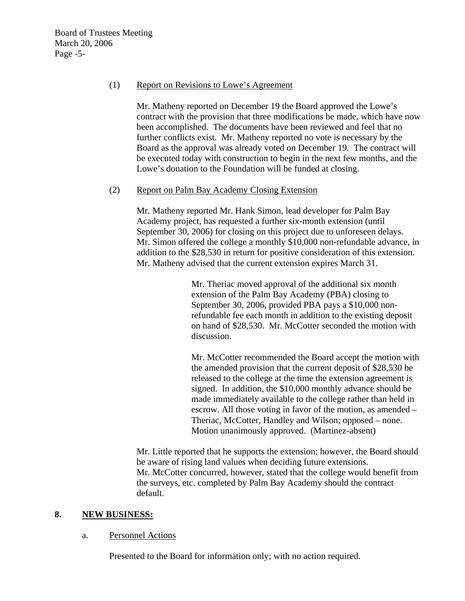### (1) Report on Revisions to Lowe's Agreement

Mr. Matheny reported on December 19 the Board approved the Lowe's contract with the provision that three modifications be made, which have now been accomplished. The documents have been reviewed and feel that no further conflicts exist. Mr. Matheny reported no vote is necessary by the Board as the approval was already voted on December 19. The contract will be executed today with construction to begin in the next few months, and the Lowe's donation to the Foundation will be funded at closing.

### (2) Report on Palm Bay Academy Closing Extension

Mr. Matheny reported Mr. Hank Simon, lead developer for Palm Bay Academy project, has requested a further six-month extension (until September 30, 2006) for closing on this project due to unforeseen delays. Mr. Simon offered the college a monthly \$10,000 non-refundable advance, in addition to the \$28,530 in return for positive consideration of this extension. Mr. Matheny advised that the current extension expires March 31.

> Mr. Theriac moved approval of the additional six month extension of the Palm Bay Academy (PBA) closing to September 30, 2006, provided PBA pays a \$10,000 nonrefundable fee each month in addition to the existing deposit on hand of \$28,530. Mr. McCotter seconded the motion with discussion.

Mr. McCotter recommended the Board accept the motion with the amended provision that the current deposit of \$28,530 be released to the college at the time the extension agreement is signed. In addition, the \$10,000 monthly advance should be made immediately available to the college rather than held in escrow. All those voting in favor of the motion, as amended – Theriac, McCotter, Handley and Wilson; opposed – none. Motion unanimously approved. (Martinez-absent)

Mr. Little reported that he supports the extension; however, the Board should be aware of rising land values when deciding future extensions. Mr. McCotter concurred, however, stated that the college would benefit from the surveys, etc. completed by Palm Bay Academy should the contract default.

# **8. NEW BUSINESS:**

#### a. Personnel Actions

Presented to the Board for information only; with no action required.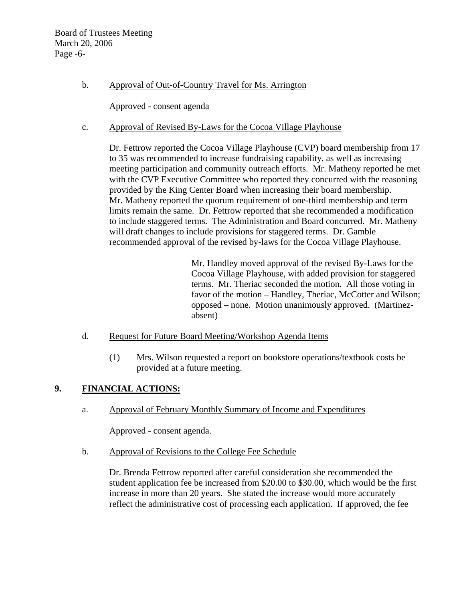Board of Trustees Meeting March 20, 2006 Page -6-

b. Approval of Out-of-Country Travel for Ms. Arrington

Approved - consent agenda

c. Approval of Revised By-Laws for the Cocoa Village Playhouse

Dr. Fettrow reported the Cocoa Village Playhouse (CVP) board membership from 17 to 35 was recommended to increase fundraising capability, as well as increasing meeting participation and community outreach efforts. Mr. Matheny reported he met with the CVP Executive Committee who reported they concurred with the reasoning provided by the King Center Board when increasing their board membership. Mr. Matheny reported the quorum requirement of one-third membership and term limits remain the same. Dr. Fettrow reported that she recommended a modification to include staggered terms. The Administration and Board concurred. Mr. Matheny will draft changes to include provisions for staggered terms. Dr. Gamble recommended approval of the revised by-laws for the Cocoa Village Playhouse.

> Mr. Handley moved approval of the revised By-Laws for the Cocoa Village Playhouse, with added provision for staggered terms. Mr. Theriac seconded the motion. All those voting in favor of the motion – Handley, Theriac, McCotter and Wilson; opposed – none. Motion unanimously approved. (Martinezabsent)

- d. Request for Future Board Meeting/Workshop Agenda Items
	- (1) Mrs. Wilson requested a report on bookstore operations/textbook costs be provided at a future meeting.

# **9. FINANCIAL ACTIONS:**

a. Approval of February Monthly Summary of Income and Expenditures

Approved - consent agenda.

b. Approval of Revisions to the College Fee Schedule

Dr. Brenda Fettrow reported after careful consideration she recommended the student application fee be increased from \$20.00 to \$30.00, which would be the first increase in more than 20 years. She stated the increase would more accurately reflect the administrative cost of processing each application. If approved, the fee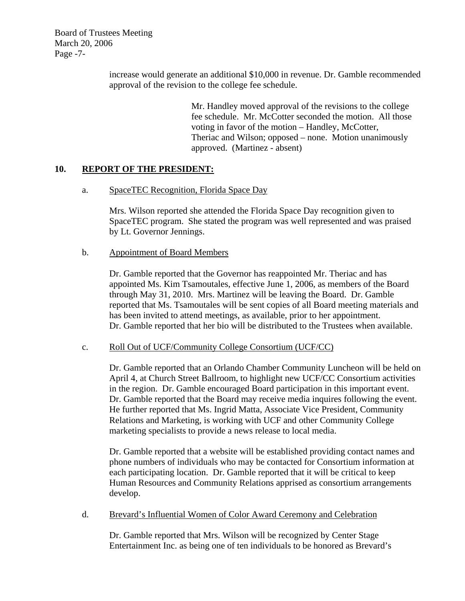Board of Trustees Meeting March 20, 2006 Page -7-

> increase would generate an additional \$10,000 in revenue. Dr. Gamble recommended approval of the revision to the college fee schedule.

> > Mr. Handley moved approval of the revisions to the college fee schedule. Mr. McCotter seconded the motion. All those voting in favor of the motion – Handley, McCotter, Theriac and Wilson; opposed – none. Motion unanimously approved. (Martinez - absent)

### **10. REPORT OF THE PRESIDENT:**

a. SpaceTEC Recognition, Florida Space Day

Mrs. Wilson reported she attended the Florida Space Day recognition given to SpaceTEC program. She stated the program was well represented and was praised by Lt. Governor Jennings.

#### b. Appointment of Board Members

Dr. Gamble reported that the Governor has reappointed Mr. Theriac and has appointed Ms. Kim Tsamoutales, effective June 1, 2006, as members of the Board through May 31, 2010. Mrs. Martinez will be leaving the Board. Dr. Gamble reported that Ms. Tsamoutales will be sent copies of all Board meeting materials and has been invited to attend meetings, as available, prior to her appointment. Dr. Gamble reported that her bio will be distributed to the Trustees when available.

#### c. Roll Out of UCF/Community College Consortium (UCF/CC)

Dr. Gamble reported that an Orlando Chamber Community Luncheon will be held on April 4, at Church Street Ballroom, to highlight new UCF/CC Consortium activities in the region. Dr. Gamble encouraged Board participation in this important event. Dr. Gamble reported that the Board may receive media inquires following the event. He further reported that Ms. Ingrid Matta, Associate Vice President, Community Relations and Marketing, is working with UCF and other Community College marketing specialists to provide a news release to local media.

Dr. Gamble reported that a website will be established providing contact names and phone numbers of individuals who may be contacted for Consortium information at each participating location. Dr. Gamble reported that it will be critical to keep Human Resources and Community Relations apprised as consortium arrangements develop.

d. Brevard's Influential Women of Color Award Ceremony and Celebration

Dr. Gamble reported that Mrs. Wilson will be recognized by Center Stage Entertainment Inc. as being one of ten individuals to be honored as Brevard's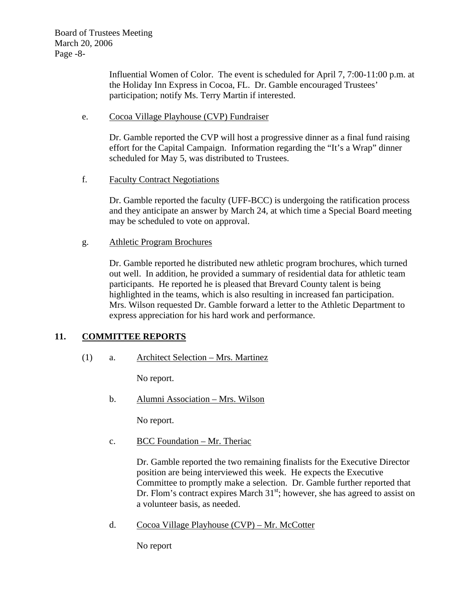Influential Women of Color. The event is scheduled for April 7, 7:00-11:00 p.m. at the Holiday Inn Express in Cocoa, FL. Dr. Gamble encouraged Trustees' participation; notify Ms. Terry Martin if interested.

## e. Cocoa Village Playhouse (CVP) Fundraiser

Dr. Gamble reported the CVP will host a progressive dinner as a final fund raising effort for the Capital Campaign. Information regarding the "It's a Wrap" dinner scheduled for May 5, was distributed to Trustees.

### f. Faculty Contract Negotiations

Dr. Gamble reported the faculty (UFF-BCC) is undergoing the ratification process and they anticipate an answer by March 24, at which time a Special Board meeting may be scheduled to vote on approval.

### g. Athletic Program Brochures

Dr. Gamble reported he distributed new athletic program brochures, which turned out well. In addition, he provided a summary of residential data for athletic team participants. He reported he is pleased that Brevard County talent is being highlighted in the teams, which is also resulting in increased fan participation. Mrs. Wilson requested Dr. Gamble forward a letter to the Athletic Department to express appreciation for his hard work and performance.

# **11. COMMITTEE REPORTS**

(1) a. Architect Selection – Mrs. Martinez

No report.

b. Alumni Association – Mrs. Wilson

No report.

c. BCC Foundation – Mr. Theriac

Dr. Gamble reported the two remaining finalists for the Executive Director position are being interviewed this week. He expects the Executive Committee to promptly make a selection. Dr. Gamble further reported that Dr. Flom's contract expires March  $31<sup>st</sup>$ ; however, she has agreed to assist on a volunteer basis, as needed.

d. Cocoa Village Playhouse (CVP) – Mr. McCotter

No report